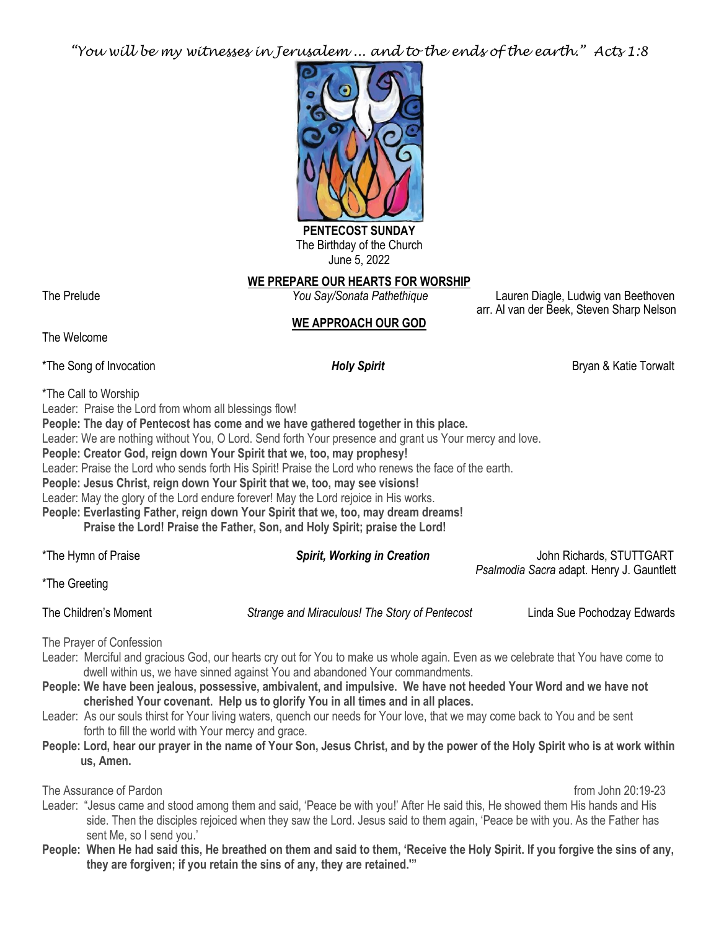*"You will be my witnesses in Jerusalem ... and to the ends of the earth." Acts 1:8*



The Birthday of the Church June 5, 2022

## **WE PREPARE OUR HEARTS FOR WORSHIP**

The Prelude *You Say/Sonata Pathethique* Lauren Diagle, Ludwig van Beethoven arr. Al van der Beek, Steven Sharp Nelson

# **WE APPROACH OUR GOD**

The Welcome

\*The Song of Invocation *Holy Spirit* Bryan & Katie Torwalt

\*The Call to Worship

Leader: Praise the Lord from whom all blessings flow!

**People: The day of Pentecost has come and we have gathered together in this place.**

Leader: We are nothing without You, O Lord. Send forth Your presence and grant us Your mercy and love.

**People: Creator God, reign down Your Spirit that we, too, may prophesy!**

Leader: Praise the Lord who sends forth His Spirit! Praise the Lord who renews the face of the earth.

**People: Jesus Christ, reign down Your Spirit that we, too, may see visions!**

Leader: May the glory of the Lord endure forever! May the Lord rejoice in His works.

**People: Everlasting Father, reign down Your Spirit that we, too, may dream dreams! Praise the Lord! Praise the Father, Son, and Holy Spirit; praise the Lord!**

\*The Hymn of Praise *Spirit, Working in Creation* John Richards, STUTTGART *Psalmodia Sacra* adapt. Henry J. Gauntlett

\*The Greeting

The Children's Moment *Strange and Miraculous! The Story of Pentecost* Linda Sue Pochodzay Edwards

The Prayer of Confession

- Leader: Merciful and gracious God, our hearts cry out for You to make us whole again. Even as we celebrate that You have come to dwell within us, we have sinned against You and abandoned Your commandments.
- **People: We have been jealous, possessive, ambivalent, and impulsive. We have not heeded Your Word and we have not cherished Your covenant. Help us to glorify You in all times and in all places.**
- Leader: As our souls thirst for Your living waters, quench our needs for Your love, that we may come back to You and be sent forth to fill the world with Your mercy and grace.
- **People: Lord, hear our prayer in the name of Your Son, Jesus Christ, and by the power of the Holy Spirit who is at work within us, Amen.**

The Assurance of Pardon from John 20:19-23

Leader: "Jesus came and stood among them and said, 'Peace be with you!' After He said this, He showed them His hands and His side. Then the disciples rejoiced when they saw the Lord. Jesus said to them again, 'Peace be with you. As the Father has sent Me, so I send you.'

**People: When He had said this, He breathed on them and said to them, 'Receive the Holy Spirit. If you forgive the sins of any, they are forgiven; if you retain the sins of any, they are retained.'"**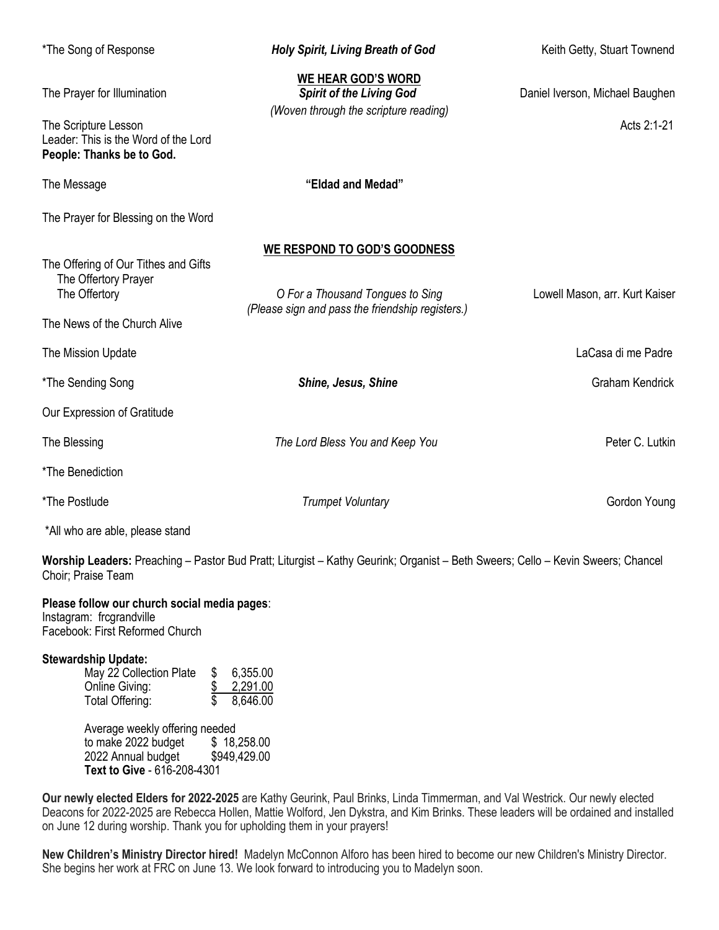| *The Song of Response                                                                                                    | <b>Holy Spirit, Living Breath of God</b>                                                                             | Keith Getty, Stuart Townend                    |
|--------------------------------------------------------------------------------------------------------------------------|----------------------------------------------------------------------------------------------------------------------|------------------------------------------------|
| The Prayer for Illumination<br>The Scripture Lesson<br>Leader: This is the Word of the Lord<br>People: Thanks be to God. | WE HEAR GOD'S WORD<br><b>Spirit of the Living God</b><br>(Woven through the scripture reading)                       | Daniel Iverson, Michael Baughen<br>Acts 2:1-21 |
| The Message                                                                                                              | "Eldad and Medad"                                                                                                    |                                                |
| The Prayer for Blessing on the Word                                                                                      |                                                                                                                      |                                                |
| The Offering of Our Tithes and Gifts<br>The Offertory Prayer<br>The Offertory<br>The News of the Church Alive            | WE RESPOND TO GOD'S GOODNESS<br>O For a Thousand Tongues to Sing<br>(Please sign and pass the friendship registers.) | Lowell Mason, arr. Kurt Kaiser                 |
| The Mission Update                                                                                                       |                                                                                                                      | LaCasa di me Padre                             |
| *The Sending Song                                                                                                        | Shine, Jesus, Shine                                                                                                  | <b>Graham Kendrick</b>                         |
| Our Expression of Gratitude                                                                                              |                                                                                                                      |                                                |
| The Blessing                                                                                                             | The Lord Bless You and Keep You                                                                                      | Peter C. Lutkin                                |
| *The Benediction                                                                                                         |                                                                                                                      |                                                |
| *The Postlude                                                                                                            | <b>Trumpet Voluntary</b>                                                                                             | Gordon Young                                   |
| *All who are able, please stand                                                                                          |                                                                                                                      |                                                |

**Worship Leaders:** Preaching – Pastor Bud Pratt; Liturgist – Kathy Geurink; Organist – Beth Sweers; Cello – Kevin Sweers; Chancel Choir; Praise Team

# **Please follow our church social media pages**:

Instagram: frcgrandville Facebook: First Reformed Church

# **Stewardship Update:**

| S. | 6,355.00 |
|----|----------|
|    | 2,291.00 |
|    | 8,646.00 |
|    |          |

Average weekly offering needed to make 2022 budget \$ 18,258.00 2022 Annual budget \$949,429.00 **Text to Give** - 616-208-4301

**Our newly elected Elders for 2022-2025** are Kathy Geurink, Paul Brinks, Linda Timmerman, and Val Westrick. Our newly elected Deacons for 2022-2025 are Rebecca Hollen, Mattie Wolford, Jen Dykstra, and Kim Brinks. These leaders will be ordained and installed on June 12 during worship. Thank you for upholding them in your prayers!

**New Children's Ministry Director hired!** Madelyn McConnon Alforo has been hired to become our new Children's Ministry Director. She begins her work at FRC on June 13. We look forward to introducing you to Madelyn soon.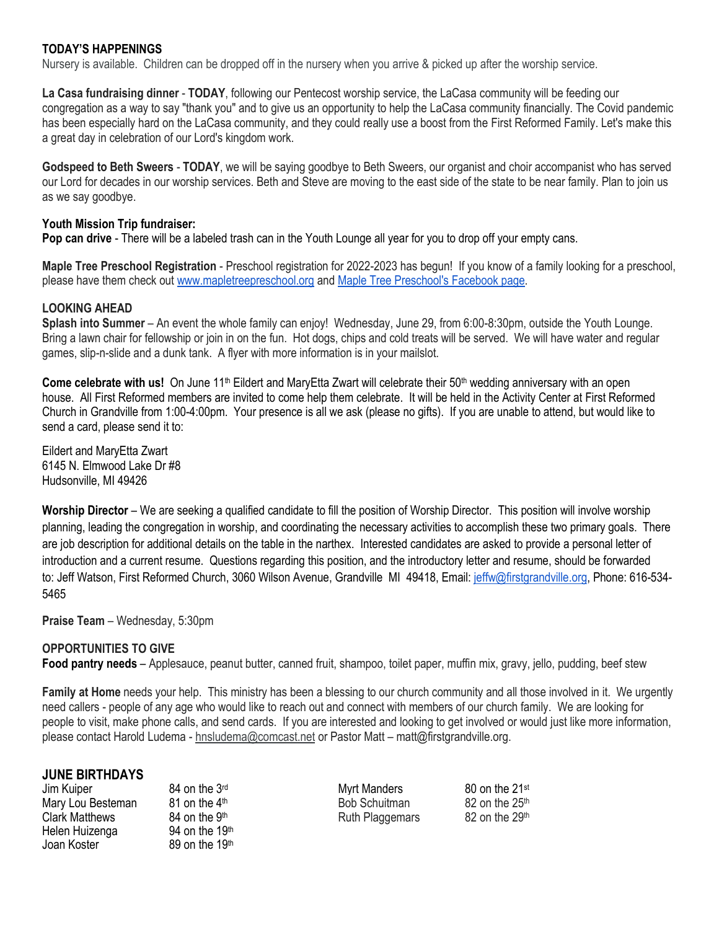## **TODAY'S HAPPENINGS**

Nursery is available. Children can be dropped off in the nursery when you arrive & picked up after the worship service.

**La Casa fundraising dinner** - **TODAY**, following our Pentecost worship service, the LaCasa community will be feeding our congregation as a way to say "thank you" and to give us an opportunity to help the LaCasa community financially. The Covid pandemic has been especially hard on the LaCasa community, and they could really use a boost from the First Reformed Family. Let's make this a great day in celebration of our Lord's kingdom work.

**Godspeed to Beth Sweers** - **TODAY**, we will be saying goodbye to Beth Sweers, our organist and choir accompanist who has served our Lord for decades in our worship services. Beth and Steve are moving to the east side of the state to be near family. Plan to join us as we say goodbye.

#### **Youth Mission Trip fundraiser:**

**Pop can drive** - There will be a labeled trash can in the Youth Lounge all year for you to drop off your empty cans.

**Maple Tree Preschool Registration** - Preschool registration for 2022-2023 has begun! If you know of a family looking for a preschool, please have them check out [www.mapletreepreschool.org](http://www.mapletreepreschool.org/) and [Maple Tree Preschool's](https://www.facebook.com/Maple-Tree-Preschool-107534002642706) Facebook page.

#### **LOOKING AHEAD**

**Splash into Summer** – An event the whole family can enjoy! Wednesday, June 29, from 6:00-8:30pm, outside the Youth Lounge. Bring a lawn chair for fellowship or join in on the fun. Hot dogs, chips and cold treats will be served. We will have water and regular games, slip-n-slide and a dunk tank. A flyer with more information is in your mailslot.

**Come celebrate with us!** On June 11<sup>th</sup> Eildert and MaryEtta Zwart will celebrate their 50<sup>th</sup> wedding anniversary with an open house. All First Reformed members are invited to come help them celebrate. It will be held in the Activity Center at First Reformed Church in Grandville from 1:00-4:00pm. Your presence is all we ask (please no gifts). If you are unable to attend, but would like to send a card, please send it to:

Eildert and MaryEtta Zwart 6145 N. Elmwood Lake Dr #8 Hudsonville, MI 49426

**Worship Director** – We are seeking a qualified candidate to fill the position of Worship Director. This position will involve worship planning, leading the congregation in worship, and coordinating the necessary activities to accomplish these two primary goals. There are job description for additional details on the table in the narthex. Interested candidates are asked to provide a personal letter of introduction and a current resume. Questions regarding this position, and the introductory letter and resume, should be forwarded to: Jeff Watson, First Reformed Church, 3060 Wilson Avenue, Grandville MI 49418, Email: [jeffw@firstgrandville.org,](mailto:jeffw@firstgrandville.org) Phone: 616-534- 5465

**Praise Team** – Wednesday, 5:30pm

#### **OPPORTUNITIES TO GIVE**

**Food pantry needs** – Applesauce, peanut butter, canned fruit, shampoo, toilet paper, muffin mix, gravy, jello, pudding, beef stew

**Family at Home** needs your help. This ministry has been a blessing to our church community and all those involved in it. We urgently need callers - people of any age who would like to reach out and connect with members of our church family. We are looking for people to visit, make phone calls, and send cards. If you are interested and looking to get involved or would just like more information, please contact Harold Ludema - [hnsludema@comcast.net](mailto:hnsludema@comcast.net) or Pastor Matt – matt@firstgrandville.org.

#### **JUNE BIRTHDAYS**

Jim Kuiper 64 on the 3<sup>rd</sup> Myrt Manders 80 on the 21<sup>st</sup> Mary Lou Besteman and  $81$  on the 4<sup>th</sup> Bob Schuitman and  $82$  on the  $25<sup>th</sup>$ Clark Matthews 84 on the 9<sup>th</sup> Ruth Plaggemars 82 on the 29<sup>th</sup> Helen Huizenga 94 on the 19<sup>th</sup><br>Joan Koster 89 on the 19<sup>th</sup> Joan Koster